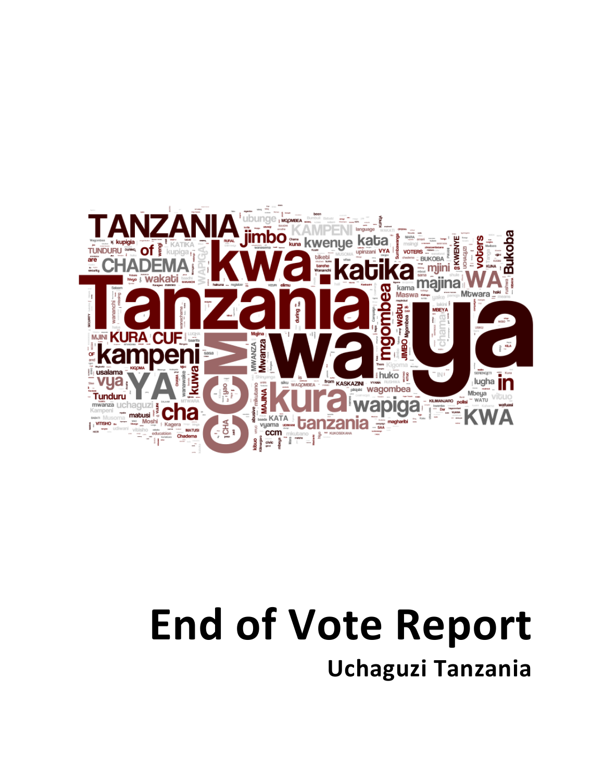

## **End!of!Vote!Report**

**Uchaguzi!Tanzania**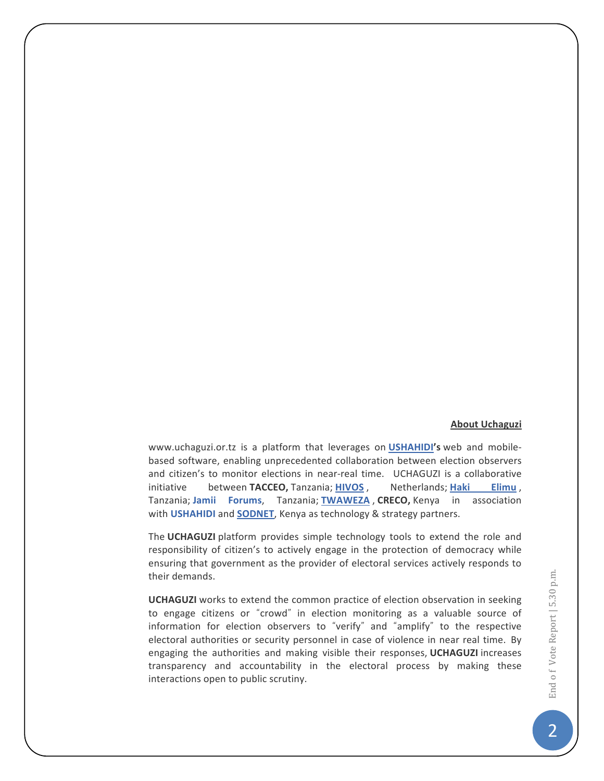## **About!Uchaguzi**

www.uchaguzi.or.tz is a platform that leverages on **USHAHIDI's** web and mobilebased software, enabling unprecedented collaboration between election observers and citizen's to monitor elections in near-real time. UCHAGUZI is a collaborative initiative between TACCEO, Tanzania; **HIVOS** , Netherlands; Haki Elimu, Tanzania; Jamii Forums, Tanzania; **TWAWEZA**, CRECO, Kenya in association with **USHAHIDI** and **SODNET**, Kenya as technology & strategy partners.

The UCHAGUZI platform provides simple technology tools to extend the role and responsibility of citizen's to actively engage in the protection of democracy while ensuring that government as the provider of electoral services actively responds to their demands.

**UCHAGUZI** works to extend the common practice of election observation in seeking to engage citizens or "crowd" in election monitoring as a valuable source of information for election observers to "verify" and "amplify" to the respective electoral authorities or security personnel in case of violence in near real time. By engaging the authorities and making visible their responses, UCHAGUZI increases transparency and accountability in the electoral process by making these interactions open to public scrutiny.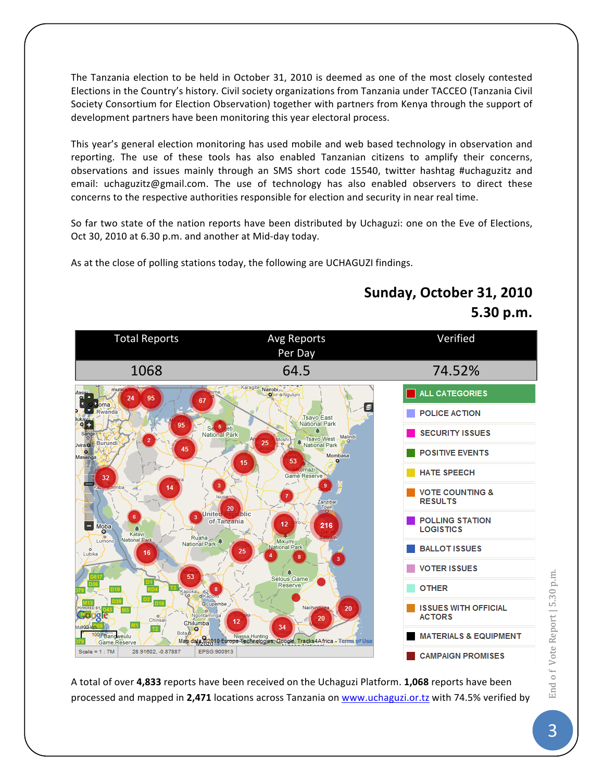The Tanzania election to be held in October 31, 2010 is deemed as one of the most closely contested Elections in the Country's history. Civil society organizations from Tanzania under TACCEO (Tanzania Civil Society Consortium for Election Observation) together with partners from Kenya through the support of development partners have been monitoring this year electoral process.

This year's general election monitoring has used mobile and web based technology in observation and reporting. The use of these tools has also enabled Tanzanian citizens to amplify their concerns, observations and issues mainly through an SMS short code 15540, twitter hashtag #uchaguzitz and email: uchaguzitz@gmail.com. The use of technology has also enabled observers to direct these concerns to the respective authorities responsible for election and security in near real time.

So far two state of the nation reports have been distributed by Uchaguzi: one on the Eve of Elections, Oct 30, 2010 at 6.30 p.m. and another at Mid-day today.

As at the close of polling stations today, the following are UCHAGUZI findings.

## Total Reports **Avg Reports** Verified Per Day 1068 64.5 74.52% Nairobi ALL CATEGORIES ö o Nguluni е POLICE ACTION **Tsavo** East National Park SECURITY ISSUES lational Park Tsavo West Malindi<br>National Park Burund **POSITIVE EVENTS Mo** nazi **HATE SPEECH** 32 **VOTE COUNTING & RESULTS** 20 Únited hlic **POLLING STATION** of Tanzania Moba **LOGISTICS** Ruaha National Park **BALLOT ISSUES** Lubika **VOTER ISSUES** c Selous Game Reserve **OTHER ISSUES WITH OFFICIAL ACTORS** Chinsa Chilumba  $T2$ **MATERIALS & EQUIPMENT** Banoweulu Man data 82010 Europa Technologies, Google, Tracks4Africa - Terms of Use Game Reserve Scale =  $1:7M$ 28.91602, -0.87887 EPSG:900913 **CAMPAIGN PROMISES**

**Sunday, October 31, 2010 5.30!p.m.**

A total of over 4,833 reports have been received on the Uchaguzi Platform. 1,068 reports have been processed and mapped in 2,471 locations across Tanzania on www.uchaguzi.or.tz with 74.5% verified by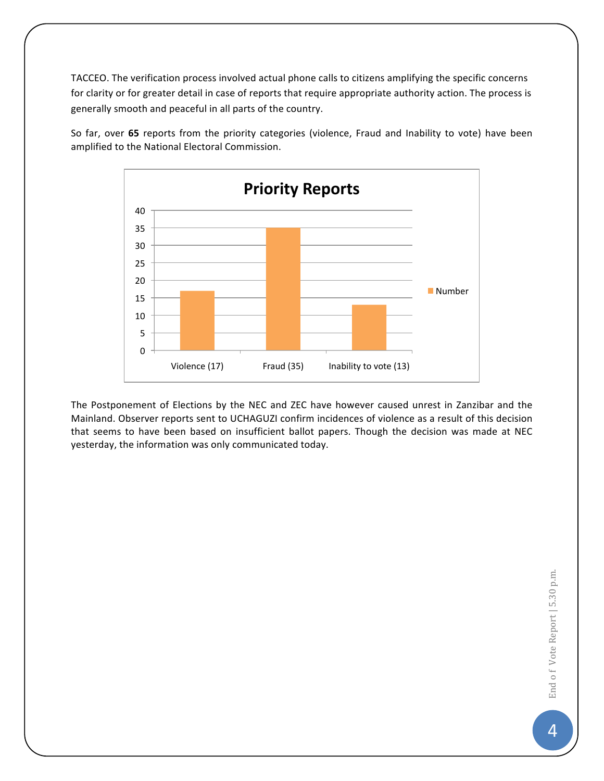TACCEO. The verification process involved actual phone calls to citizens amplifying the specific concerns for clarity or for greater detail in case of reports that require appropriate authority action. The process is generally smooth and peaceful in all parts of the country.





The Postponement of Elections by the NEC and ZEC have however caused unrest in Zanzibar and the Mainland. Observer reports sent to UCHAGUZI confirm incidences of violence as a result of this decision that seems to have been based on insufficient ballot papers. Though the decision was made at NEC yesterday, the information was only communicated today.